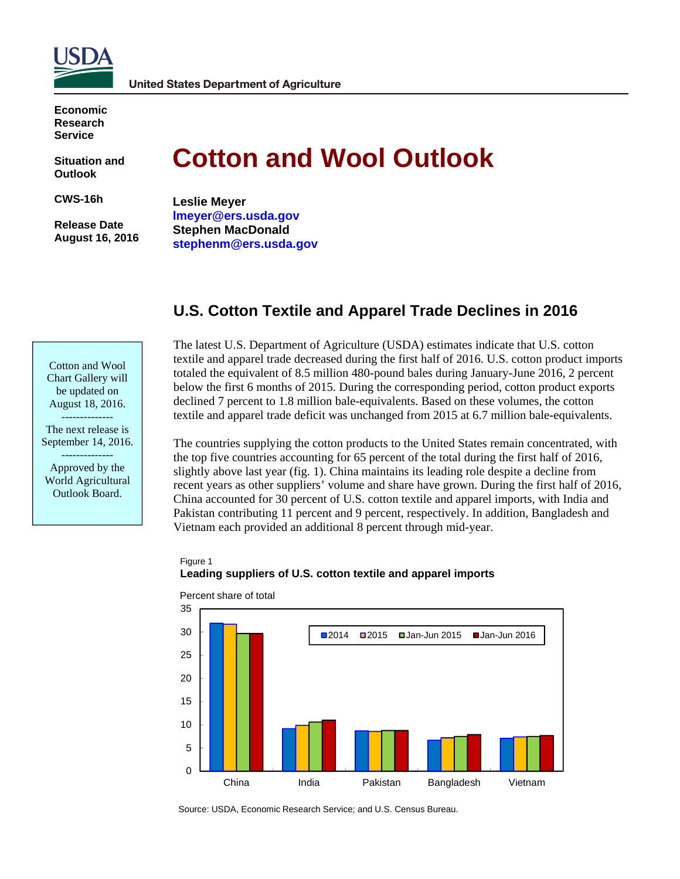

**Economic Research Service** 

**Situation and Outlook** 

**CWS-16h** 

 **Release Date August 16, 2016** 

# **Cotton and Wool Outlook**

**Leslie Meyer lmeyer@ers.usda.gov Stephen MacDonald stephenm@ers.usda.gov** 

# **U.S. Cotton Textile and Apparel Trade Declines in 2016**

Cotton and Wool Chart Gallery will be updated on August 18, 2016. --------------

The next release is September 14, 2016.

-------------- Approved by the World Agricultural Outlook Board.

The latest U.S. Department of Agriculture (USDA) estimates indicate that U.S. cotton textile and apparel trade decreased during the first half of 2016. U.S. cotton product imports totaled the equivalent of 8.5 million 480-pound bales during January-June 2016, 2 percent below the first 6 months of 2015. During the corresponding period, cotton product exports declined 7 percent to 1.8 million bale-equivalents. Based on these volumes, the cotton textile and apparel trade deficit was unchanged from 2015 at 6.7 million bale-equivalents.

The countries supplying the cotton products to the United States remain concentrated, with the top five countries accounting for 65 percent of the total during the first half of 2016, slightly above last year (fig. 1). China maintains its leading role despite a decline from recent years as other suppliers' volume and share have grown. During the first half of 2016, China accounted for 30 percent of U.S. cotton textile and apparel imports, with India and Pakistan contributing 11 percent and 9 percent, respectively. In addition, Bangladesh and Vietnam each provided an additional 8 percent through mid-year.

#### Figure 1 **Leading suppliers of U.S. cotton textile and apparel imports**

Percent share of total



Source: USDA, Economic Research Service; and U.S. Census Bureau.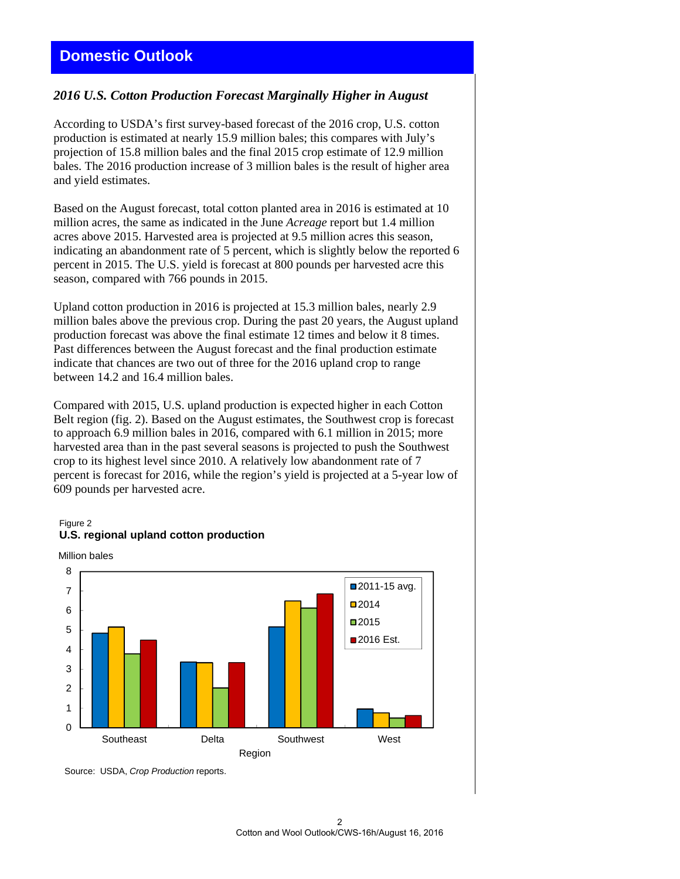# **Domestic Outlook**

#### *2016 U.S. Cotton Production Forecast Marginally Higher in August*

According to USDA's first survey-based forecast of the 2016 crop, U.S. cotton production is estimated at nearly 15.9 million bales; this compares with July's projection of 15.8 million bales and the final 2015 crop estimate of 12.9 million bales. The 2016 production increase of 3 million bales is the result of higher area and yield estimates.

Based on the August forecast, total cotton planted area in 2016 is estimated at 10 million acres, the same as indicated in the June *Acreage* report but 1.4 million acres above 2015. Harvested area is projected at 9.5 million acres this season, indicating an abandonment rate of 5 percent, which is slightly below the reported 6 percent in 2015. The U.S. yield is forecast at 800 pounds per harvested acre this season, compared with 766 pounds in 2015.

Upland cotton production in 2016 is projected at 15.3 million bales, nearly 2.9 million bales above the previous crop. During the past 20 years, the August upland production forecast was above the final estimate 12 times and below it 8 times. Past differences between the August forecast and the final production estimate indicate that chances are two out of three for the 2016 upland crop to range between 14.2 and 16.4 million bales.

Compared with 2015, U.S. upland production is expected higher in each Cotton Belt region (fig. 2). Based on the August estimates, the Southwest crop is forecast to approach 6.9 million bales in 2016, compared with 6.1 million in 2015; more harvested area than in the past several seasons is projected to push the Southwest crop to its highest level since 2010. A relatively low abandonment rate of 7 percent is forecast for 2016, while the region's yield is projected at a 5-year low of 609 pounds per harvested acre.

#### Figure 2 **U.S. regional upland cotton production**





Source: USDA, *Crop Production* reports.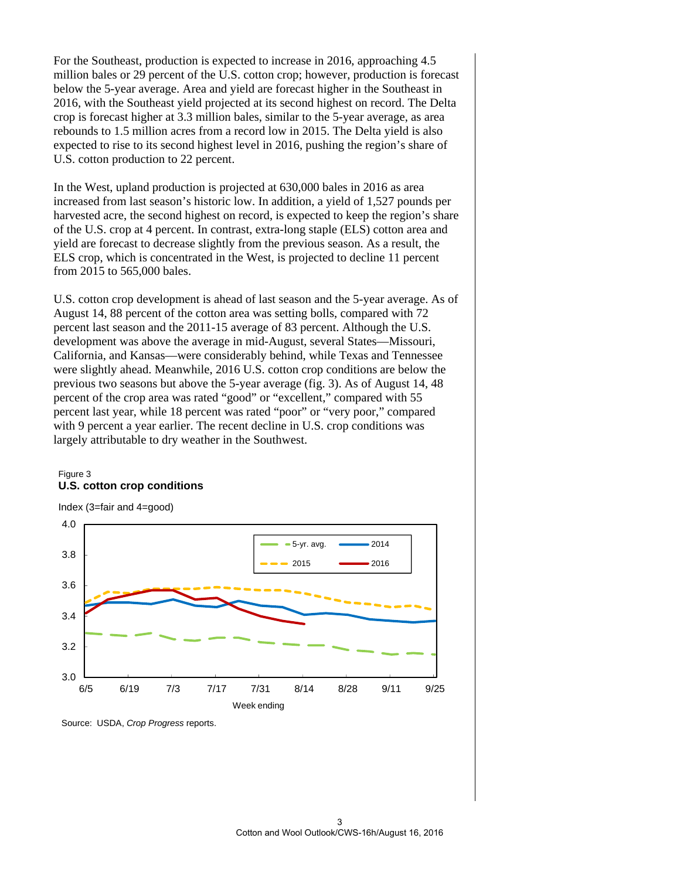For the Southeast, production is expected to increase in 2016, approaching 4.5 million bales or 29 percent of the U.S. cotton crop; however, production is forecast below the 5-year average. Area and yield are forecast higher in the Southeast in 2016, with the Southeast yield projected at its second highest on record. The Delta crop is forecast higher at 3.3 million bales, similar to the 5-year average, as area rebounds to 1.5 million acres from a record low in 2015. The Delta yield is also expected to rise to its second highest level in 2016, pushing the region's share of U.S. cotton production to 22 percent.

In the West, upland production is projected at 630,000 bales in 2016 as area increased from last season's historic low. In addition, a yield of 1,527 pounds per harvested acre, the second highest on record, is expected to keep the region's share of the U.S. crop at 4 percent. In contrast, extra-long staple (ELS) cotton area and yield are forecast to decrease slightly from the previous season. As a result, the ELS crop, which is concentrated in the West, is projected to decline 11 percent from 2015 to 565,000 bales.

U.S. cotton crop development is ahead of last season and the 5-year average. As of August 14, 88 percent of the cotton area was setting bolls, compared with 72 percent last season and the 2011-15 average of 83 percent. Although the U.S. development was above the average in mid-August, several States—Missouri, California, and Kansas—were considerably behind, while Texas and Tennessee were slightly ahead. Meanwhile, 2016 U.S. cotton crop conditions are below the previous two seasons but above the 5-year average (fig. 3). As of August 14, 48 percent of the crop area was rated "good" or "excellent," compared with 55 percent last year, while 18 percent was rated "poor" or "very poor," compared with 9 percent a year earlier. The recent decline in U.S. crop conditions was largely attributable to dry weather in the Southwest.

#### Figure 3 **U.S. cotton crop conditions**



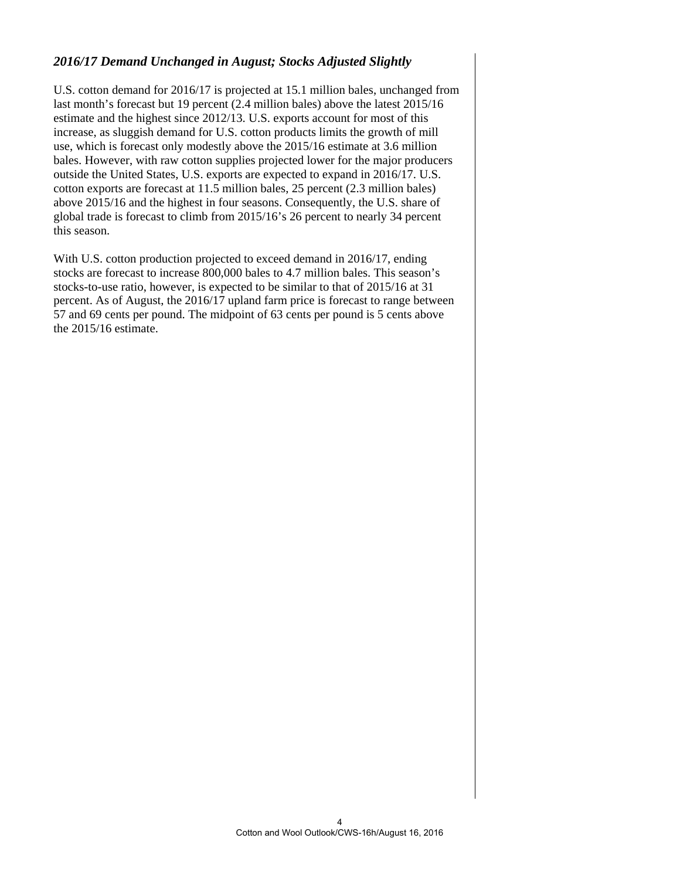## *2016/17 Demand Unchanged in August; Stocks Adjusted Slightly*

U.S. cotton demand for 2016/17 is projected at 15.1 million bales, unchanged from last month's forecast but 19 percent (2.4 million bales) above the latest 2015/16 estimate and the highest since 2012/13. U.S. exports account for most of this increase, as sluggish demand for U.S. cotton products limits the growth of mill use, which is forecast only modestly above the 2015/16 estimate at 3.6 million bales. However, with raw cotton supplies projected lower for the major producers outside the United States, U.S. exports are expected to expand in 2016/17. U.S. cotton exports are forecast at 11.5 million bales, 25 percent (2.3 million bales) above 2015/16 and the highest in four seasons. Consequently, the U.S. share of global trade is forecast to climb from 2015/16's 26 percent to nearly 34 percent this season.

With U.S. cotton production projected to exceed demand in 2016/17, ending stocks are forecast to increase 800,000 bales to 4.7 million bales. This season's stocks-to-use ratio, however, is expected to be similar to that of 2015/16 at 31 percent. As of August, the 2016/17 upland farm price is forecast to range between 57 and 69 cents per pound. The midpoint of 63 cents per pound is 5 cents above the 2015/16 estimate.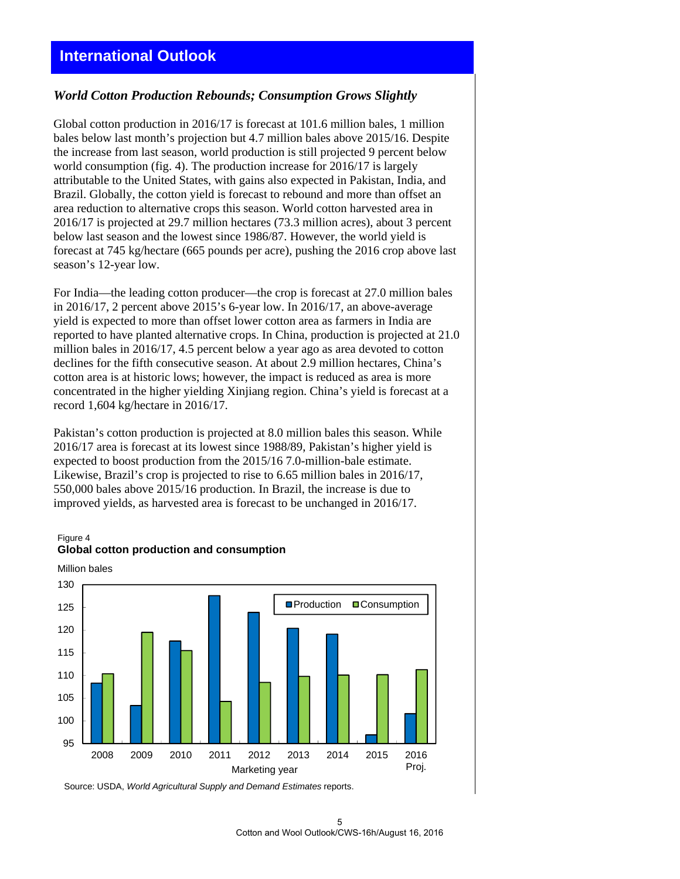# **International Outlook**

#### *World Cotton Production Rebounds; Consumption Grows Slightly*

Global cotton production in 2016/17 is forecast at 101.6 million bales, 1 million bales below last month's projection but 4.7 million bales above 2015/16. Despite the increase from last season, world production is still projected 9 percent below world consumption (fig. 4). The production increase for 2016/17 is largely attributable to the United States, with gains also expected in Pakistan, India, and Brazil. Globally, the cotton yield is forecast to rebound and more than offset an area reduction to alternative crops this season. World cotton harvested area in 2016/17 is projected at 29.7 million hectares (73.3 million acres), about 3 percent below last season and the lowest since 1986/87. However, the world yield is forecast at 745 kg/hectare (665 pounds per acre), pushing the 2016 crop above last season's 12-year low.

For India—the leading cotton producer—the crop is forecast at 27.0 million bales in 2016/17, 2 percent above 2015's 6-year low. In 2016/17, an above-average yield is expected to more than offset lower cotton area as farmers in India are reported to have planted alternative crops. In China, production is projected at 21.0 million bales in 2016/17, 4.5 percent below a year ago as area devoted to cotton declines for the fifth consecutive season. At about 2.9 million hectares, China's cotton area is at historic lows; however, the impact is reduced as area is more concentrated in the higher yielding Xinjiang region. China's yield is forecast at a record 1,604 kg/hectare in 2016/17.

Pakistan's cotton production is projected at 8.0 million bales this season. While 2016/17 area is forecast at its lowest since 1988/89, Pakistan's higher yield is expected to boost production from the 2015/16 7.0-million-bale estimate. Likewise, Brazil's crop is projected to rise to 6.65 million bales in 2016/17, 550,000 bales above 2015/16 production. In Brazil, the increase is due to improved yields, as harvested area is forecast to be unchanged in 2016/17.

#### Figure 4 **Global cotton production and consumption**



Million bales

Source: USDA, *World Agricultural Supply and Demand Estimates* reports.

5 Cotton and Wool Outlook/CWS-16h/August 16, 2016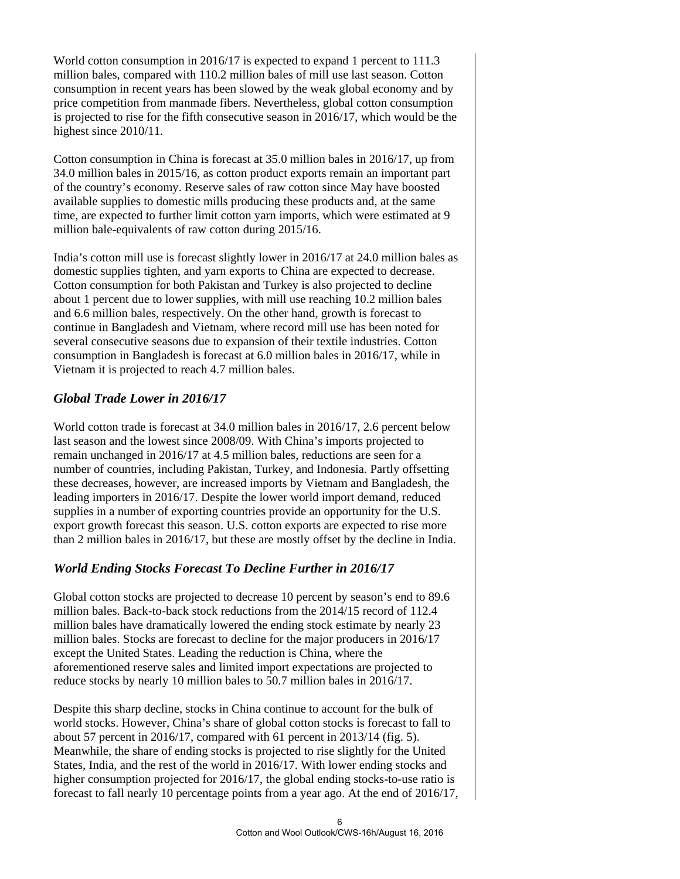World cotton consumption in 2016/17 is expected to expand 1 percent to 111.3 million bales, compared with 110.2 million bales of mill use last season. Cotton consumption in recent years has been slowed by the weak global economy and by price competition from manmade fibers. Nevertheless, global cotton consumption is projected to rise for the fifth consecutive season in 2016/17, which would be the highest since 2010/11.

Cotton consumption in China is forecast at 35.0 million bales in 2016/17, up from 34.0 million bales in 2015/16, as cotton product exports remain an important part of the country's economy. Reserve sales of raw cotton since May have boosted available supplies to domestic mills producing these products and, at the same time, are expected to further limit cotton yarn imports, which were estimated at 9 million bale-equivalents of raw cotton during 2015/16.

India's cotton mill use is forecast slightly lower in 2016/17 at 24.0 million bales as domestic supplies tighten, and yarn exports to China are expected to decrease. Cotton consumption for both Pakistan and Turkey is also projected to decline about 1 percent due to lower supplies, with mill use reaching 10.2 million bales and 6.6 million bales, respectively. On the other hand, growth is forecast to continue in Bangladesh and Vietnam, where record mill use has been noted for several consecutive seasons due to expansion of their textile industries. Cotton consumption in Bangladesh is forecast at 6.0 million bales in 2016/17, while in Vietnam it is projected to reach 4.7 million bales.

## *Global Trade Lower in 2016/17*

World cotton trade is forecast at 34.0 million bales in 2016/17, 2.6 percent below last season and the lowest since 2008/09. With China's imports projected to remain unchanged in 2016/17 at 4.5 million bales, reductions are seen for a number of countries, including Pakistan, Turkey, and Indonesia. Partly offsetting these decreases, however, are increased imports by Vietnam and Bangladesh, the leading importers in 2016/17. Despite the lower world import demand, reduced supplies in a number of exporting countries provide an opportunity for the U.S. export growth forecast this season. U.S. cotton exports are expected to rise more than 2 million bales in 2016/17, but these are mostly offset by the decline in India.

## *World Ending Stocks Forecast To Decline Further in 2016/17*

Global cotton stocks are projected to decrease 10 percent by season's end to 89.6 million bales. Back-to-back stock reductions from the 2014/15 record of 112.4 million bales have dramatically lowered the ending stock estimate by nearly 23 million bales. Stocks are forecast to decline for the major producers in 2016/17 except the United States. Leading the reduction is China, where the aforementioned reserve sales and limited import expectations are projected to reduce stocks by nearly 10 million bales to 50.7 million bales in 2016/17.

Despite this sharp decline, stocks in China continue to account for the bulk of world stocks. However, China's share of global cotton stocks is forecast to fall to about 57 percent in 2016/17, compared with 61 percent in 2013/14 (fig. 5). Meanwhile, the share of ending stocks is projected to rise slightly for the United States, India, and the rest of the world in 2016/17. With lower ending stocks and higher consumption projected for 2016/17, the global ending stocks-to-use ratio is forecast to fall nearly 10 percentage points from a year ago. At the end of 2016/17,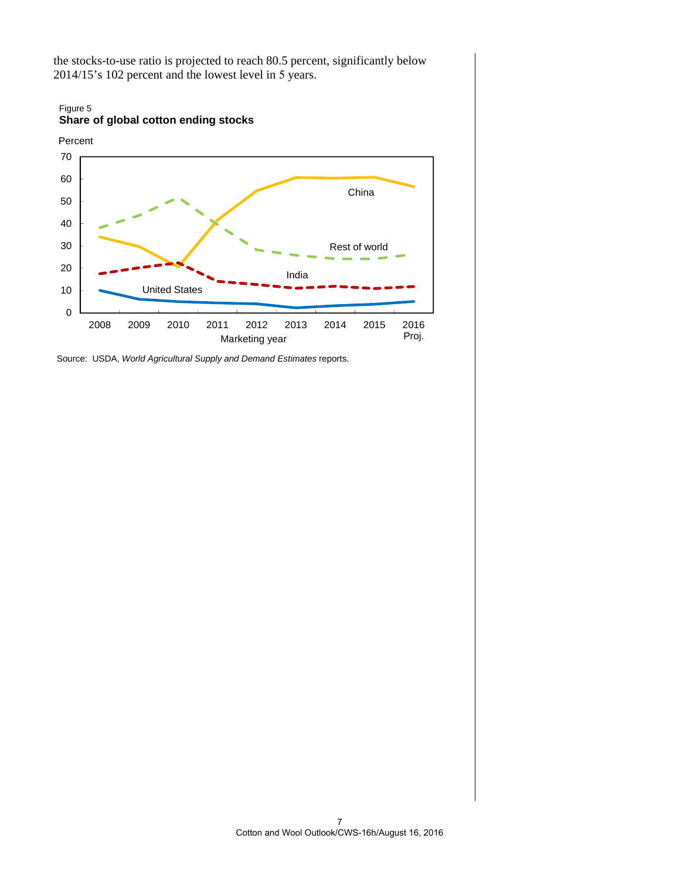the stocks-to-use ratio is projected to reach 80.5 percent, significantly below 2014/15's 102 percent and the lowest level in 5 years.



Source: USDA, *World Agricultural Supply and Demand Estimates* reports.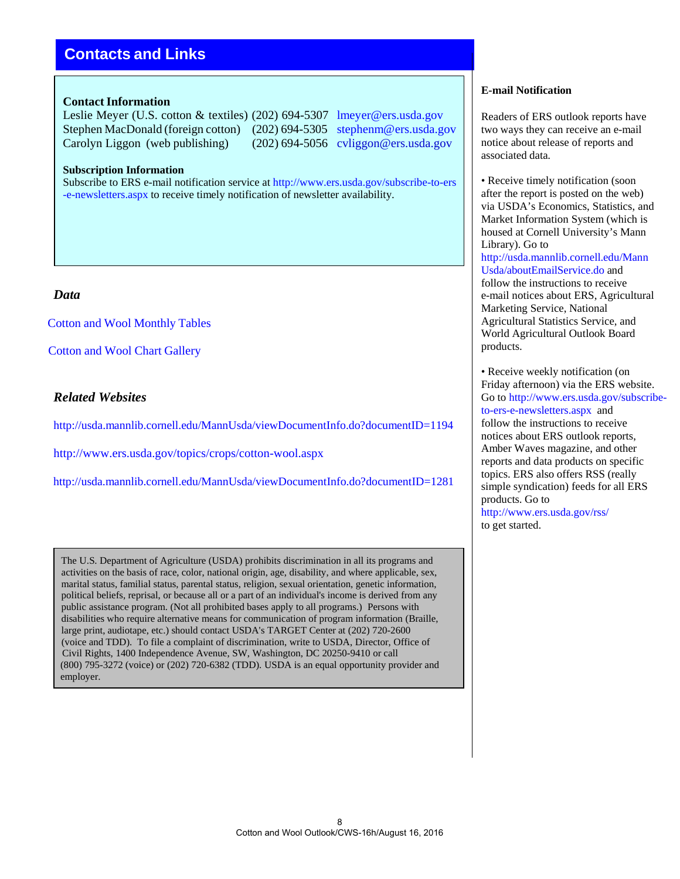# **Contacts and Links**

#### **Contact Information**

Leslie Meyer (U.S. cotton & textiles) (202) 694-5307 lmeyer@ers.usda.gov Stephen MacDonald (foreign cotton) (202) 694-5305 stephenm@ers.usda.gov Carolyn Liggon (web publishing) (202) 694-5056 cvliggon@ers.usda.gov

#### **Subscription Information**

Subscribe to ERS e-mail notification service at http://www.ers.usda.gov/subscribe-to-ers -e-newsletters.aspx to receive timely notification of newsletter availability.

### *Data*

Cotton and Wool Monthly Tables

Cotton and Wool Chart Gallery

## *Related Websites*

http://usda.mannlib.cornell.edu/MannUsda/viewDocumentInfo.do?documentID=1194

http://www.ers.usda.gov/topics/crops/cotton-wool.aspx

http://usda.mannlib.cornell.edu/MannUsda/viewDocumentInfo.do?documentID=1281

The U.S. Department of Agriculture (USDA) prohibits discrimination in all its programs and activities on the basis of race, color, national origin, age, disability, and where applicable, sex, marital status, familial status, parental status, religion, sexual orientation, genetic information, political beliefs, reprisal, or because all or a part of an individual's income is derived from any public assistance program. (Not all prohibited bases apply to all programs.) Persons with disabilities who require alternative means for communication of program information (Braille, large print, audiotape, etc.) should contact USDA's TARGET Center at (202) 720-2600 (voice and TDD). To file a complaint of discrimination, write to USDA, Director, Office of Civil Rights, 1400 Independence Avenue, SW, Washington, DC 20250-9410 or call (800) 795-3272 (voice) or (202) 720-6382 (TDD). USDA is an equal opportunity provider and employer.

### **E-mail Notification**

Readers of ERS outlook reports have two ways they can receive an e-mail notice about release of reports and associated data.

• Receive timely notification (soon after the report is posted on the web) via USDA's Economics, Statistics, and Market Information System (which is housed at Cornell University's Mann Library). Go to http://usda.mannlib.cornell.edu/Mann Usda/aboutEmailService.do and follow the instructions to receive e-mail notices about ERS, Agricultural Marketing Service, National Agricultural Statistics Service, and World Agricultural Outlook Board products.

• Receive weekly notification (on Friday afternoon) via the ERS website. Go to http://www.ers.usda.gov/subscribeto-ers-e-newsletters.aspx and follow the instructions to receive notices about ERS outlook reports, Amber Waves magazine, and other reports and data products on specific topics. ERS also offers RSS (really simple syndication) feeds for all ERS products. Go to http://www.ers.usda.gov/rss/ to get started.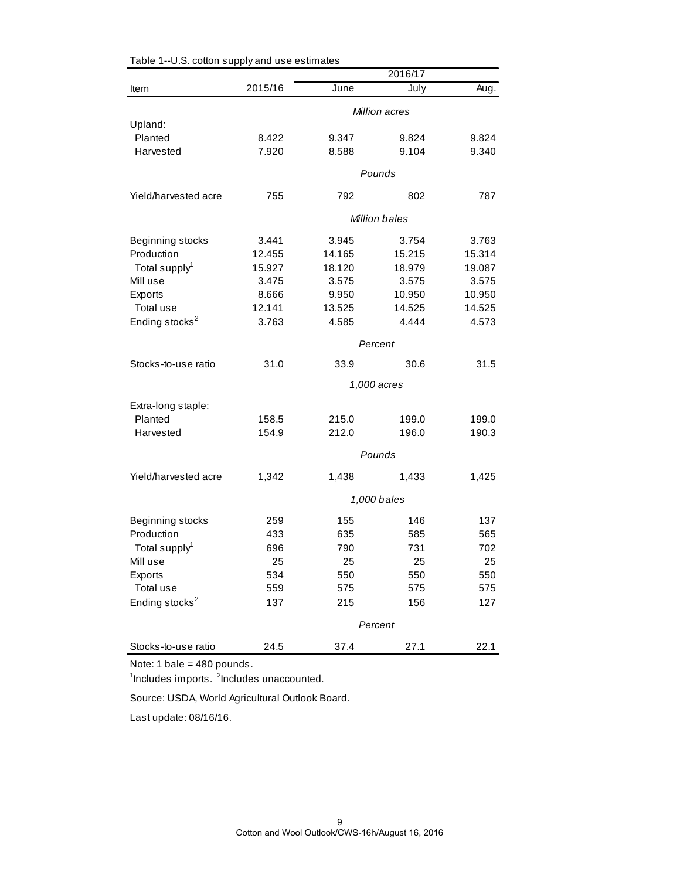|                               | 2016/17              |             |                      |                |  |  |
|-------------------------------|----------------------|-------------|----------------------|----------------|--|--|
| Item                          | 2015/16              | June        | July                 | Aug.           |  |  |
|                               |                      |             | <b>Million acres</b> |                |  |  |
| Upland:                       |                      |             |                      |                |  |  |
| Planted                       | 8.422                | 9.347       | 9.824                | 9.824          |  |  |
| Harvested                     | 7.920                | 8.588       | 9.104                | 9.340          |  |  |
|                               |                      |             | Pounds               |                |  |  |
| Yield/harvested acre          | 755                  | 792         | 802                  | 787            |  |  |
|                               | <b>Million bales</b> |             |                      |                |  |  |
| Beginning stocks              | 3.441                | 3.945       | 3.754                | 3.763          |  |  |
| Production                    | 12.455               | 14.165      | 15.215               | 15.314         |  |  |
| Total supply <sup>1</sup>     | 15.927               | 18.120      | 18.979               | 19.087         |  |  |
| Mill use                      | 3.475                | 3.575       | 3.575                | 3.575          |  |  |
| Exports                       | 8.666                | 9.950       | 10.950               | 10.950         |  |  |
| Total use                     | 12.141               | 13.525      | 14.525               | 14.525         |  |  |
| Ending stocks <sup>2</sup>    | 3.763                | 4.585       | 4.444                | 4.573          |  |  |
|                               | Percent              |             |                      |                |  |  |
| Stocks-to-use ratio           | 31.0                 | 33.9        | 30.6                 | 31.5           |  |  |
|                               |                      |             | 1,000 acres          |                |  |  |
|                               |                      |             |                      |                |  |  |
| Extra-long staple:<br>Planted | 158.5                | 215.0       | 199.0                |                |  |  |
| Harvested                     | 154.9                | 212.0       | 196.0                | 199.0<br>190.3 |  |  |
|                               |                      |             |                      |                |  |  |
|                               |                      |             | Pounds               |                |  |  |
| Yield/harvested acre          | 1,342                | 1,438       | 1,433                | 1,425          |  |  |
|                               |                      | 1,000 bales |                      |                |  |  |
| Beginning stocks              | 259                  | 155         | 146                  | 137            |  |  |
| Production                    | 433                  | 635         | 585                  | 565            |  |  |
| Total supply <sup>1</sup>     | 696                  | 790         | 731                  | 702            |  |  |
| Mill use                      | 25                   | 25          | 25                   | 25             |  |  |
| Exports                       | 534                  | 550         | 550                  | 550            |  |  |
| Total use                     | 559                  | 575         | 575                  | 575            |  |  |
| Ending stocks <sup>2</sup>    | 137                  | 215         | 156                  | 127            |  |  |
|                               |                      |             | Percent              |                |  |  |
|                               |                      |             |                      |                |  |  |
| Stocks-to-use ratio           | 24.5                 | 37.4        | 27.1                 | 22.1           |  |  |

Table 1--U.S. cotton supply and use estimates

Note: 1 bale = 480 pounds.

<sup>1</sup>Includes imports. <sup>2</sup>Includes unaccounted.

Source: USDA, World Agricultural Outlook Board.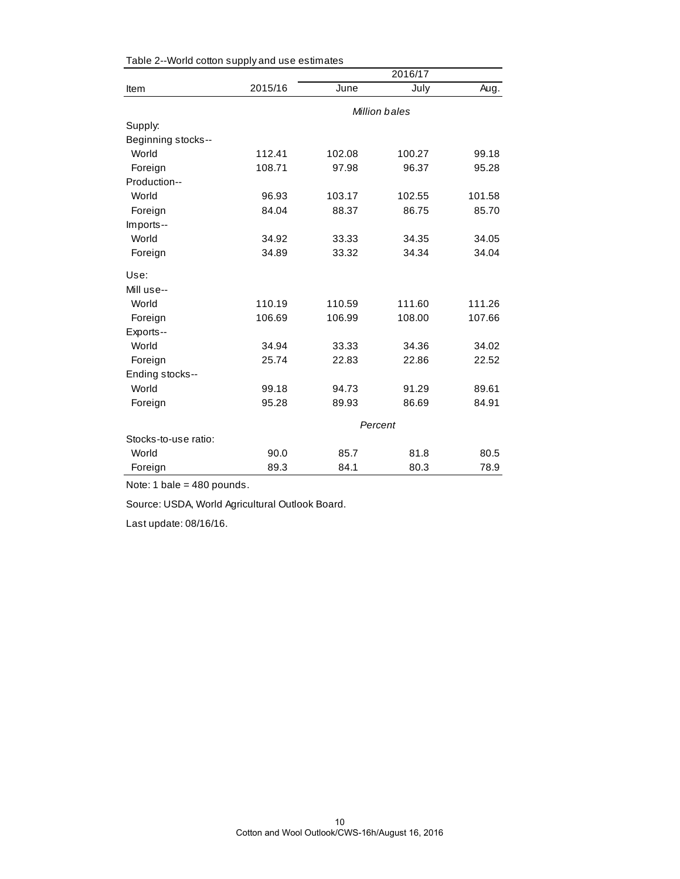|                      | 2016/17       |         |        |        |  |
|----------------------|---------------|---------|--------|--------|--|
| Item                 | 2015/16       | June    | July   | Aug.   |  |
|                      | Million bales |         |        |        |  |
| Supply:              |               |         |        |        |  |
| Beginning stocks--   |               |         |        |        |  |
| World                | 112.41        | 102.08  | 100.27 | 99.18  |  |
| Foreign              | 108.71        | 97.98   | 96.37  | 95.28  |  |
| Production--         |               |         |        |        |  |
| World                | 96.93         | 103.17  | 102.55 | 101.58 |  |
| Foreign              | 84.04         | 88.37   | 86.75  | 85.70  |  |
| Imports--            |               |         |        |        |  |
| World                | 34.92         | 33.33   | 34.35  | 34.05  |  |
| Foreign              | 34.89         | 33.32   | 34.34  | 34.04  |  |
| Use:                 |               |         |        |        |  |
| Mill use--           |               |         |        |        |  |
| World                | 110.19        | 110.59  | 111.60 | 111.26 |  |
| Foreign              | 106.69        | 106.99  | 108.00 | 107.66 |  |
| Exports--            |               |         |        |        |  |
| World                | 34.94         | 33.33   | 34.36  | 34.02  |  |
| Foreign              | 25.74         | 22.83   | 22.86  | 22.52  |  |
| Ending stocks--      |               |         |        |        |  |
| World                | 99.18         | 94.73   | 91.29  | 89.61  |  |
| Foreign              | 95.28         | 89.93   | 86.69  | 84.91  |  |
|                      |               | Percent |        |        |  |
| Stocks-to-use ratio: |               |         |        |        |  |
| World                | 90.0          | 85.7    | 81.8   | 80.5   |  |
| Foreign              | 89.3          | 84.1    | 80.3   | 78.9   |  |

Table 2--World cotton supply and use estimates

Note: 1 bale = 480 pounds.

Source: USDA, World Agricultural Outlook Board.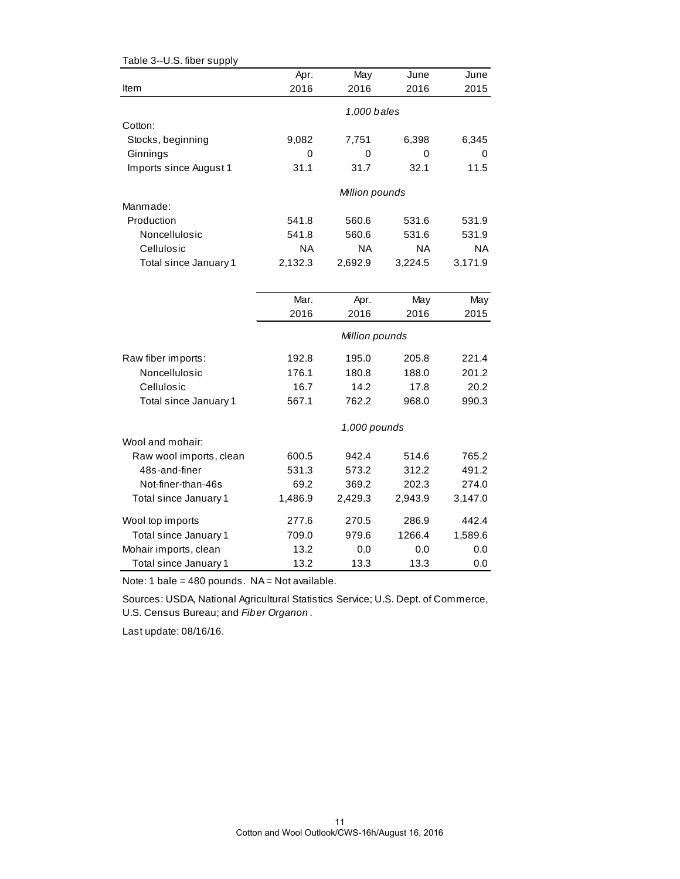| Table 3--U.S. fiber supply |         |                |           |           |
|----------------------------|---------|----------------|-----------|-----------|
|                            | Apr.    | May            | June      | June      |
| Item                       | 2016    | 2016           | 2016      | 2015      |
|                            |         | 1,000 bales    |           |           |
| Cotton:                    |         |                |           |           |
|                            |         |                |           |           |
| Stocks, beginning          | 9,082   | 7,751          | 6,398     | 6,345     |
| Ginnings                   | 0       | 0              | 0         | 0         |
| Imports since August 1     | 31.1    | 31.7           | 32.1      | 11.5      |
|                            |         | Million pounds |           |           |
| Manmade:                   |         |                |           |           |
| Production                 | 541.8   | 560.6          | 531.6     | 531.9     |
| Noncellulosic              | 541.8   | 560.6          | 531.6     | 531.9     |
| Cellulosic                 | ΝA      | ΝA             | <b>NA</b> | <b>NA</b> |
| Total since January 1      | 2,132.3 | 2,692.9        | 3,224.5   | 3,171.9   |
|                            |         |                |           |           |
|                            | Mar.    | Apr.           | May       | May       |
|                            | 2016    | 2016           | 2016      | 2015      |
|                            |         | Million pounds |           |           |
|                            |         |                |           |           |
| Raw fiber imports:         | 192.8   | 195.0          | 205.8     | 221.4     |
| Noncellulosic              | 176.1   | 180.8          | 188.0     | 201.2     |
| Cellulosic                 | 16.7    | 14.2           | 17.8      | 20.2      |
| Total since January 1      | 567.1   | 762.2          | 968.0     | 990.3     |
|                            |         | 1,000 pounds   |           |           |
| Wool and mohair:           |         |                |           |           |
| Raw wool imports, clean    | 600.5   | 942.4          | 514.6     | 765.2     |
| 48s-and-finer              | 531.3   | 573.2          | 312.2     | 491.2     |
| Not-finer-than-46s         | 69.2    | 369.2          | 202.3     | 274.0     |
| Total since January 1      | 1,486.9 | 2,429.3        | 2,943.9   | 3,147.0   |
| Wool top imports           | 277.6   | 270.5          | 286.9     | 442.4     |
| Total since January 1      | 709.0   | 979.6          | 1266.4    | 1,589.6   |
| Mohair imports, clean      | 13.2    | 0.0            | 0.0       | 0.0       |
| Total since January 1      | 13.2    | 13.3           | 13.3      | 0.0       |

Note: 1 bale =  $480$  pounds. NA = Not available.

Sources: USDA, National Agricultural Statistics Service; U.S. Dept. of Commerce, U.S. Census Bureau; and *Fiber Organon* .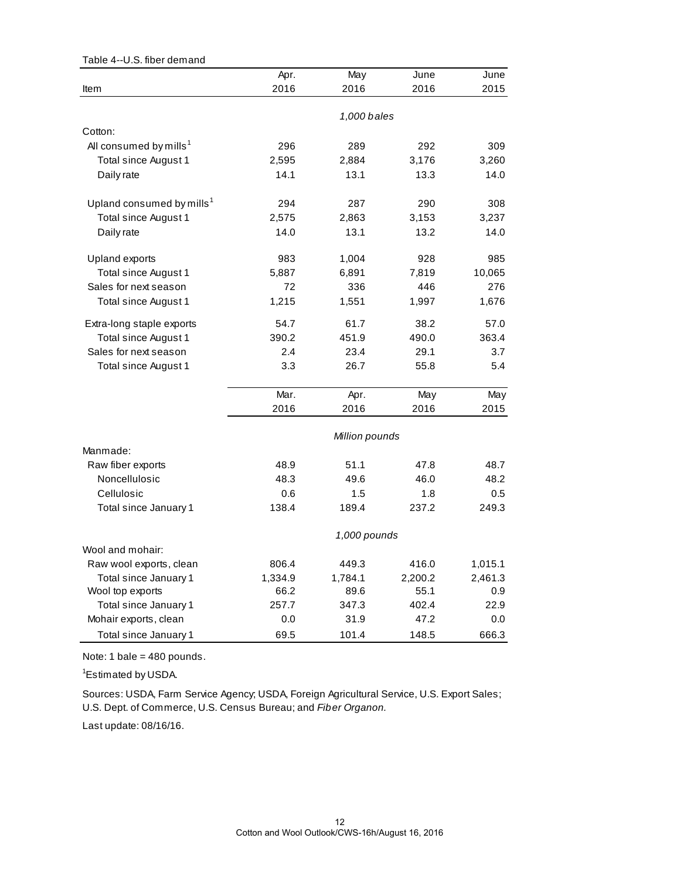| Table 4--U.S. fiber demand            |         |                |         |         |
|---------------------------------------|---------|----------------|---------|---------|
|                                       | Apr.    | May            | June    | June    |
| Item                                  | 2016    | 2016           | 2016    | 2015    |
|                                       |         | 1,000 bales    |         |         |
| Cotton:                               |         |                |         |         |
| All consumed by mills <sup>1</sup>    | 296     | 289            | 292     | 309     |
| Total since August 1                  | 2,595   | 2,884          | 3,176   | 3,260   |
| Daily rate                            | 14.1    | 13.1           | 13.3    | 14.0    |
| Upland consumed by mills <sup>1</sup> | 294     | 287            | 290     | 308     |
| Total since August 1                  | 2,575   | 2,863          | 3,153   | 3,237   |
| Daily rate                            | 14.0    | 13.1           | 13.2    | 14.0    |
| Upland exports                        | 983     | 1,004          | 928     | 985     |
| Total since August 1                  | 5,887   | 6,891          | 7,819   | 10,065  |
| Sales for next season                 | 72      | 336            | 446     | 276     |
| Total since August 1                  | 1,215   | 1,551          | 1,997   | 1,676   |
| Extra-long staple exports             | 54.7    | 61.7           | 38.2    | 57.0    |
| Total since August 1                  | 390.2   | 451.9          | 490.0   | 363.4   |
| Sales for next season                 | 2.4     | 23.4           | 29.1    | 3.7     |
| Total since August 1                  | 3.3     | 26.7           | 55.8    | 5.4     |
|                                       | Mar.    | Apr.           | May     | May     |
|                                       | 2016    | 2016           | 2016    | 2015    |
|                                       |         | Million pounds |         |         |
| Manmade:                              |         |                |         |         |
| Raw fiber exports                     | 48.9    | 51.1           | 47.8    | 48.7    |
| Noncellulosic                         | 48.3    | 49.6           | 46.0    | 48.2    |
| Cellulosic                            | 0.6     | 1.5            | 1.8     | 0.5     |
| Total since January 1                 | 138.4   | 189.4          | 237.2   | 249.3   |
|                                       |         | 1,000 pounds   |         |         |
| Wool and mohair:                      |         |                |         |         |
| Raw wool exports, clean               | 806.4   | 449.3          | 416.0   | 1,015.1 |
| Total since January 1                 | 1,334.9 | 1,784.1        | 2,200.2 | 2,461.3 |
| Wool top exports                      | 66.2    | 89.6           | 55.1    | 0.9     |
| Total since January 1                 | 257.7   | 347.3          | 402.4   | 22.9    |
| Mohair exports, clean                 | 0.0     | 31.9           | 47.2    | 0.0     |
| Total since January 1                 | 69.5    | 101.4          | 148.5   | 666.3   |

Note: 1 bale = 480 pounds.

<sup>1</sup>Estimated by USDA.

Sources: USDA, Farm Service Agency; USDA, Foreign Agricultural Service, U.S. Export Sales; U.S. Dept. of Commerce, U.S. Census Bureau; and *Fiber Organon.*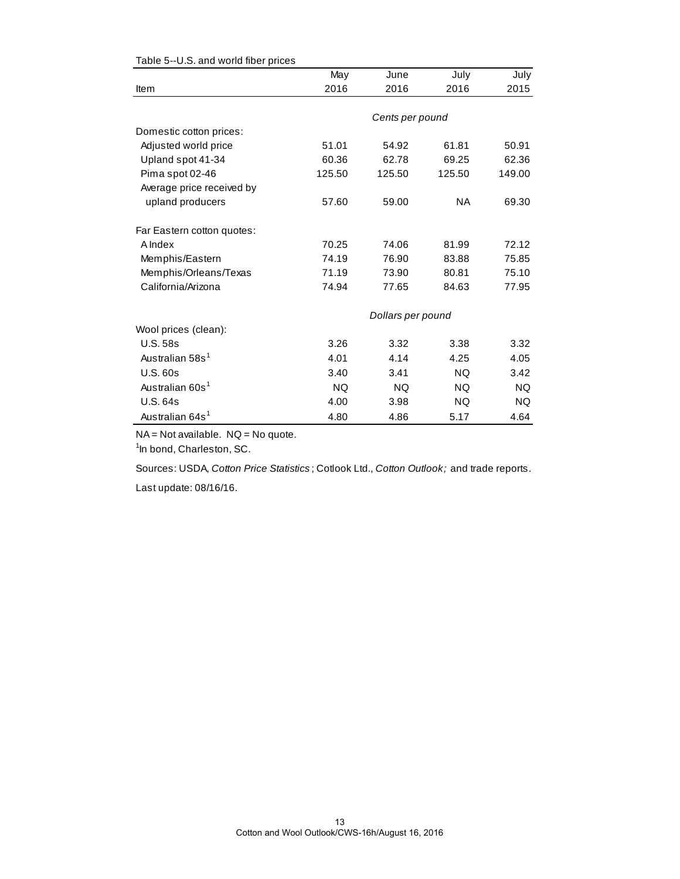|                             | May       | June              | July      | July      |
|-----------------------------|-----------|-------------------|-----------|-----------|
| Item                        | 2016      | 2016              | 2016      | 2015      |
|                             |           |                   |           |           |
|                             |           | Cents per pound   |           |           |
| Domestic cotton prices:     |           |                   |           |           |
| Adjusted world price        | 51.01     | 54.92             | 61.81     | 50.91     |
| Upland spot 41-34           | 60.36     | 62.78             | 69.25     | 62.36     |
| Pima spot 02-46             | 125.50    | 125.50            | 125.50    | 149.00    |
| Average price received by   |           |                   |           |           |
| upland producers            | 57.60     | 59.00             | <b>NA</b> | 69.30     |
| Far Eastern cotton quotes:  |           |                   |           |           |
| A Index                     | 70.25     | 74.06             | 81.99     | 72.12     |
| Memphis/Eastern             | 74.19     | 76.90             | 83.88     | 75.85     |
| Memphis/Orleans/Texas       | 71.19     | 73.90             | 80.81     | 75.10     |
| California/Arizona          | 74.94     | 77.65             | 84.63     | 77.95     |
|                             |           | Dollars per pound |           |           |
| Wool prices (clean):        |           |                   |           |           |
| <b>U.S. 58s</b>             | 3.26      | 3.32              | 3.38      | 3.32      |
| Australian 58s <sup>1</sup> | 4.01      | 4.14              | 4.25      | 4.05      |
| <b>U.S. 60s</b>             | 3.40      | 3.41              | <b>NQ</b> | 3.42      |
| Australian 60s <sup>1</sup> | <b>NQ</b> | <b>NQ</b>         | <b>NQ</b> | <b>NQ</b> |
| <b>U.S. 64s</b>             | 4.00      | 3.98              | NQ.       | NQ.       |
| Australian 64s <sup>1</sup> | 4.80      | 4.86              | 5.17      | 4.64      |

#### Table 5--U.S. and world fiber prices

NA = Not available. NQ = No quote.

<sup>1</sup>In bond, Charleston, SC.

Sources: USDA, *Cotton Price Statistics* ; Cotlook Ltd., *Cotton Outlook;* and trade reports.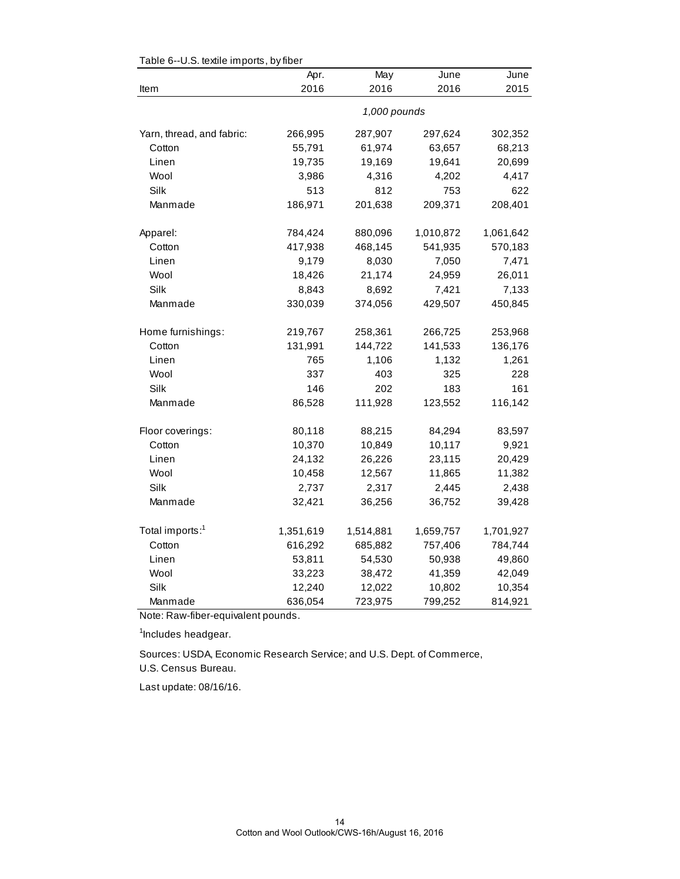| rable 0-0.0. lexile imports, by liber | Apr.      | May          | June      | June      |
|---------------------------------------|-----------|--------------|-----------|-----------|
| Item                                  | 2016      | 2016         | 2016      | 2015      |
|                                       |           | 1,000 pounds |           |           |
| Yarn, thread, and fabric:             | 266,995   | 287,907      | 297,624   | 302,352   |
| Cotton                                | 55,791    | 61,974       | 63,657    | 68,213    |
| Linen                                 | 19,735    | 19,169       | 19,641    | 20,699    |
| Wool                                  | 3,986     | 4,316        | 4,202     | 4,417     |
| Silk                                  | 513       | 812          | 753       | 622       |
| Manmade                               | 186,971   | 201,638      | 209,371   | 208,401   |
| Apparel:                              | 784,424   | 880,096      | 1,010,872 | 1,061,642 |
| Cotton                                | 417,938   | 468,145      | 541,935   | 570,183   |
| Linen                                 | 9,179     | 8,030        | 7,050     | 7,471     |
| Wool                                  | 18,426    | 21,174       | 24,959    | 26,011    |
| Silk                                  | 8,843     | 8,692        | 7,421     | 7,133     |
| Manmade                               | 330,039   | 374,056      | 429,507   | 450,845   |
| Home furnishings:                     | 219,767   | 258,361      | 266,725   | 253,968   |
| Cotton                                | 131,991   | 144,722      | 141,533   | 136,176   |
| Linen                                 | 765       | 1,106        | 1,132     | 1,261     |
| Wool                                  | 337       | 403          | 325       | 228       |
| Silk                                  | 146       | 202          | 183       | 161       |
| Manmade                               | 86,528    | 111,928      | 123,552   | 116,142   |
| Floor coverings:                      | 80,118    | 88,215       | 84,294    | 83,597    |
| Cotton                                | 10,370    | 10,849       | 10,117    | 9,921     |
| Linen                                 | 24,132    | 26,226       | 23,115    | 20,429    |
| Wool                                  | 10,458    | 12,567       | 11,865    | 11,382    |
| Silk                                  | 2,737     | 2,317        | 2,445     | 2,438     |
| Manmade                               | 32,421    | 36,256       | 36,752    | 39,428    |
| Total imports: <sup>1</sup>           | 1,351,619 | 1,514,881    | 1,659,757 | 1,701,927 |
| Cotton                                | 616,292   | 685,882      | 757,406   | 784,744   |
| Linen                                 | 53,811    | 54,530       | 50,938    | 49,860    |
| Wool                                  | 33,223    | 38,472       | 41,359    | 42,049    |
| Silk                                  | 12,240    | 12,022       | 10,802    | 10,354    |
| Manmade                               | 636,054   | 723,975      | 799,252   | 814,921   |

Table 6--U.S. textile imports, by fiber

Note: Raw-fiber-equivalent pounds.

<sup>1</sup>Includes headgear.

U.S. Census Bureau. Sources: USDA, Economic Research Service; and U.S. Dept. of Commerce,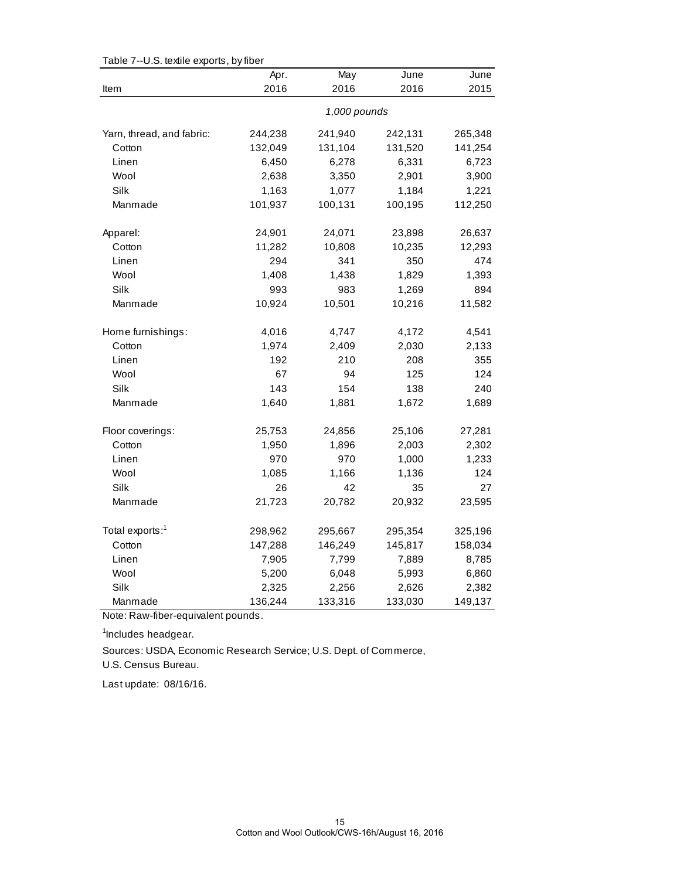|                             | Apr.    | May          | June    | June    |
|-----------------------------|---------|--------------|---------|---------|
| Item                        | 2016    | 2016         | 2016    | 2015    |
|                             |         | 1,000 pounds |         |         |
| Yarn, thread, and fabric:   | 244,238 | 241,940      | 242,131 | 265,348 |
| Cotton                      | 132,049 | 131,104      | 131,520 | 141,254 |
| Linen                       | 6,450   | 6,278        | 6,331   | 6,723   |
| Wool                        | 2,638   | 3,350        | 2,901   | 3,900   |
| Silk                        | 1,163   | 1,077        | 1,184   | 1,221   |
| Manmade                     | 101,937 | 100,131      | 100,195 | 112,250 |
| Apparel:                    | 24,901  | 24,071       | 23,898  | 26,637  |
| Cotton                      | 11,282  | 10,808       | 10,235  | 12,293  |
| Linen                       | 294     | 341          | 350     | 474     |
| Wool                        | 1,408   | 1,438        | 1,829   | 1,393   |
| Silk                        | 993     | 983          | 1,269   | 894     |
| Manmade                     | 10,924  | 10,501       | 10,216  | 11,582  |
| Home furnishings:           | 4,016   | 4,747        | 4,172   | 4,541   |
| Cotton                      | 1,974   | 2,409        | 2,030   | 2,133   |
| Linen                       | 192     | 210          | 208     | 355     |
| Wool                        | 67      | 94           | 125     | 124     |
| Silk                        | 143     | 154          | 138     | 240     |
| Manmade                     | 1,640   | 1,881        | 1,672   | 1,689   |
| Floor coverings:            | 25,753  | 24,856       | 25,106  | 27,281  |
| Cotton                      | 1,950   | 1,896        | 2,003   | 2,302   |
| Linen                       | 970     | 970          | 1,000   | 1,233   |
| Wool                        | 1,085   | 1,166        | 1,136   | 124     |
| Silk                        | 26      | 42           | 35      | 27      |
| Manmade                     | 21,723  | 20,782       | 20,932  | 23,595  |
| Total exports: <sup>1</sup> | 298,962 | 295,667      | 295,354 | 325,196 |
| Cotton                      | 147,288 | 146,249      | 145,817 | 158,034 |
| Linen                       | 7,905   | 7,799        | 7,889   | 8,785   |
| Wool                        | 5,200   | 6,048        | 5,993   | 6,860   |
| Silk                        | 2,325   | 2,256        | 2,626   | 2,382   |
| Manmade                     | 136,244 | 133,316      | 133,030 | 149,137 |

Table 7--U.S. textile exports, by fiber

Note: Raw-fiber-equivalent pounds.

<sup>1</sup>Includes headgear.

Sources: USDA, Economic Research Service; U.S. Dept. of Commerce,

U.S. Census Bureau.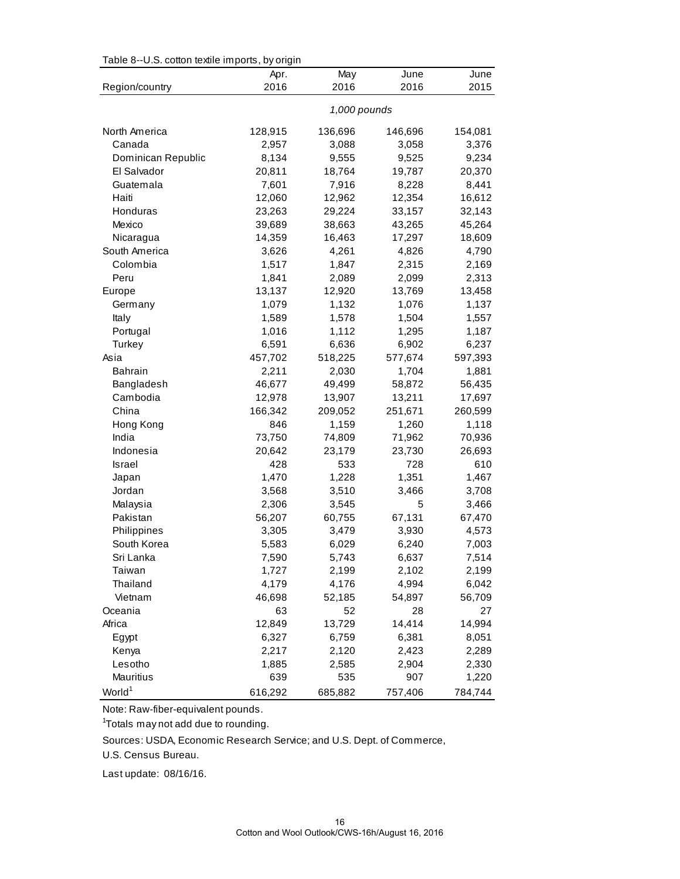| Table 8--U.S. cotton textile imports, by origin |  |  |  |  |  |  |  |  |  |
|-------------------------------------------------|--|--|--|--|--|--|--|--|--|
|-------------------------------------------------|--|--|--|--|--|--|--|--|--|

|                    | ່∵ອ…<br>Apr. | May          | June    | June    |
|--------------------|--------------|--------------|---------|---------|
| Region/country     | 2016         | 2016         | 2016    | 2015    |
|                    |              | 1,000 pounds |         |         |
| North America      | 128,915      | 136,696      | 146,696 | 154,081 |
| Canada             | 2,957        | 3,088        | 3,058   | 3,376   |
| Dominican Republic | 8,134        | 9,555        | 9,525   | 9,234   |
| El Salvador        | 20,811       | 18,764       | 19,787  | 20,370  |
| Guatemala          | 7,601        | 7,916        | 8,228   | 8,441   |
| Haiti              | 12,060       | 12,962       | 12,354  | 16,612  |
| Honduras           | 23,263       | 29,224       | 33,157  | 32,143  |
| Mexico             | 39,689       | 38,663       | 43,265  | 45,264  |
| Nicaragua          | 14,359       | 16,463       | 17,297  | 18,609  |
| South America      | 3,626        | 4,261        | 4,826   | 4,790   |
| Colombia           | 1,517        | 1,847        | 2,315   | 2,169   |
| Peru               | 1,841        | 2,089        | 2,099   | 2,313   |
| Europe             | 13,137       | 12,920       | 13,769  | 13,458  |
| Germany            | 1,079        | 1,132        | 1,076   | 1,137   |
| Italy              | 1,589        | 1,578        | 1,504   | 1,557   |
| Portugal           | 1,016        | 1,112        | 1,295   | 1,187   |
| Turkey             | 6,591        | 6,636        | 6,902   | 6,237   |
| Asia               | 457,702      | 518,225      | 577,674 | 597,393 |
| <b>Bahrain</b>     | 2,211        | 2,030        | 1,704   | 1,881   |
| Bangladesh         | 46,677       | 49,499       | 58,872  | 56,435  |
| Cambodia           | 12,978       | 13,907       | 13,211  | 17,697  |
| China              | 166,342      | 209,052      | 251,671 | 260,599 |
| Hong Kong          | 846          | 1,159        | 1,260   | 1,118   |
| India              | 73,750       | 74,809       | 71,962  | 70,936  |
| Indonesia          | 20,642       | 23,179       | 23,730  | 26,693  |
| Israel             | 428          | 533          | 728     | 610     |
| Japan              | 1,470        | 1,228        | 1,351   | 1,467   |
| Jordan             | 3,568        | 3,510        | 3,466   | 3,708   |
| Malaysia           | 2,306        | 3,545        | 5       | 3,466   |
| Pakistan           | 56,207       | 60,755       | 67,131  | 67,470  |
| Philippines        | 3,305        | 3,479        | 3,930   | 4,573   |
| South Korea        | 5,583        | 6,029        | 6,240   | 7,003   |
| Sri Lanka          | 7,590        | 5,743        | 6,637   | 7,514   |
| Taiwan             | 1,727        | 2,199        | 2,102   | 2,199   |
| Thailand           | 4,179        | 4,176        | 4,994   | 6,042   |
| Vietnam            | 46,698       | 52,185       | 54,897  | 56,709  |
| Oceania            | 63           | 52           | 28      | 27      |
| Africa             | 12,849       | 13,729       | 14,414  | 14,994  |
| Egypt              | 6,327        | 6,759        | 6,381   | 8,051   |
| Kenya              | 2,217        | 2,120        | 2,423   | 2,289   |
| Lesotho            | 1,885        | 2,585        | 2,904   | 2,330   |
| Mauritius          | 639          | 535          | 907     | 1,220   |
| World <sup>1</sup> | 616,292      | 685,882      | 757,406 | 784,744 |

Note: Raw-fiber-equivalent pounds.

<sup>1</sup>Totals may not add due to rounding.

Sources: USDA, Economic Research Service; and U.S. Dept. of Commerce,

U.S. Census Bureau.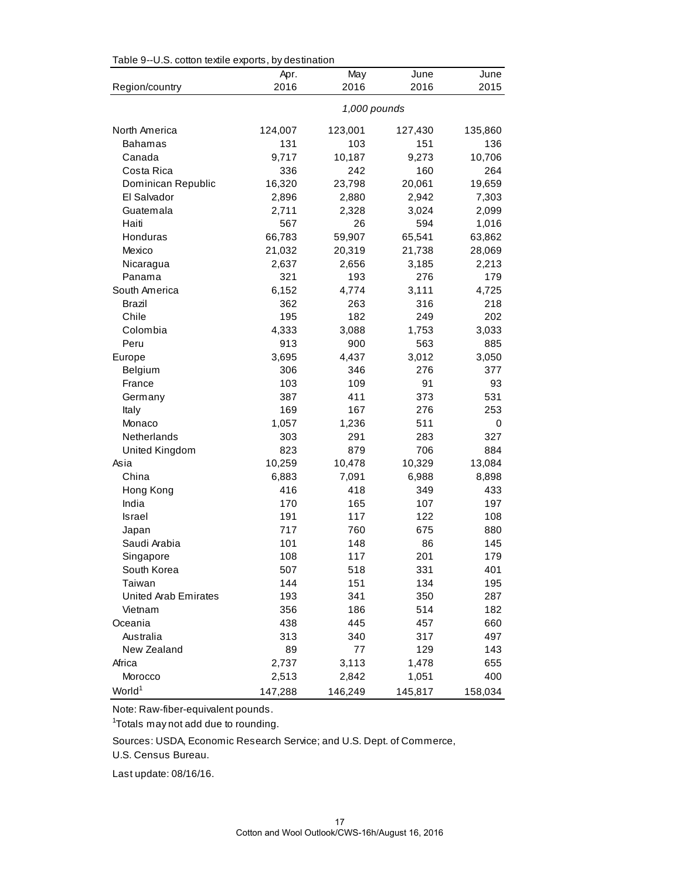| $1$ able $3$ -0.0. Conon lexine expons, by destination |              |              |              |              |  |  |
|--------------------------------------------------------|--------------|--------------|--------------|--------------|--|--|
| Region/country                                         | Apr.<br>2016 | May<br>2016  | June<br>2016 | June<br>2015 |  |  |
|                                                        |              |              |              |              |  |  |
|                                                        |              | 1,000 pounds |              |              |  |  |
| North America                                          | 124,007      | 123,001      | 127,430      | 135,860      |  |  |
| Bahamas                                                | 131          | 103          | 151          | 136          |  |  |
| Canada                                                 | 9,717        | 10,187       | 9,273        | 10,706       |  |  |
| Costa Rica                                             | 336          | 242          | 160          | 264          |  |  |
| Dominican Republic                                     | 16,320       | 23,798       | 20,061       | 19,659       |  |  |
| El Salvador                                            | 2,896        | 2,880        | 2,942        | 7,303        |  |  |
| Guatemala                                              | 2,711        | 2,328        | 3,024        | 2,099        |  |  |
| Haiti                                                  | 567          | 26           | 594          | 1,016        |  |  |
| Honduras                                               | 66,783       | 59,907       | 65,541       | 63,862       |  |  |
| Mexico                                                 | 21,032       | 20,319       | 21,738       | 28,069       |  |  |
| Nicaragua                                              | 2,637        | 2,656        | 3,185        | 2,213        |  |  |
| Panama                                                 | 321          | 193          | 276          | 179          |  |  |
| South America                                          | 6,152        | 4,774        | 3,111        | 4,725        |  |  |
| Brazil                                                 | 362          | 263          | 316          | 218          |  |  |
| Chile                                                  | 195          | 182          | 249          | 202          |  |  |
| Colombia                                               | 4,333        | 3,088        | 1,753        | 3,033        |  |  |
| Peru                                                   | 913          | 900          | 563          | 885          |  |  |
| Europe                                                 | 3,695        | 4,437        | 3,012        | 3,050        |  |  |
| Belgium                                                | 306          | 346          | 276          | 377          |  |  |
| France                                                 | 103          | 109          | 91           | 93           |  |  |
| Germany                                                | 387          | 411          | 373          | 531          |  |  |
| Italy                                                  | 169          | 167          | 276          | 253          |  |  |
| Monaco                                                 | 1,057        | 1,236        | 511          | 0            |  |  |
| Netherlands                                            | 303          | 291          | 283          | 327          |  |  |
| United Kingdom                                         | 823          | 879          | 706          | 884          |  |  |
| Asia                                                   | 10,259       | 10,478       | 10,329       | 13,084       |  |  |
| China                                                  | 6,883        | 7,091        | 6,988        | 8,898        |  |  |
| Hong Kong                                              | 416          | 418          | 349          | 433          |  |  |
| India                                                  | 170          | 165          | 107          | 197          |  |  |
| <b>Israel</b>                                          | 191          | 117          | 122          | 108          |  |  |
| Japan                                                  | 717          | 760          | 675          | 880          |  |  |
| Saudi Arabia                                           | 101          | 148          | 86           | 145          |  |  |
| Singapore                                              | 108          | 117          | 201          | 179          |  |  |
| South Korea                                            | 507          | 518          | 331          | 401          |  |  |
| Taiwan                                                 | 144          | 151          | 134          | 195          |  |  |
| United Arab Emirates                                   | 193          | 341          | 350          | 287          |  |  |
| Vietnam                                                | 356          | 186          | 514          | 182          |  |  |
| Oceania                                                | 438          | 445          | 457          | 660          |  |  |
| Australia                                              | 313          | 340          | 317          | 497          |  |  |
| New Zealand                                            | 89           | 77           | 129          | 143          |  |  |
| Africa                                                 | 2,737        | 3,113        | 1,478        | 655          |  |  |
| Morocco                                                | 2,513        | 2,842        | 1,051        | 400          |  |  |
| World <sup>1</sup>                                     | 147,288      | 146,249      | 145,817      | 158,034      |  |  |

Table 9--U.S. cotton textile exports, by destination

Note: Raw-fiber-equivalent pounds.

<sup>1</sup>Totals may not add due to rounding.

Sources: USDA, Economic Research Service; and U.S. Dept. of Commerce,

U.S. Census Bureau.